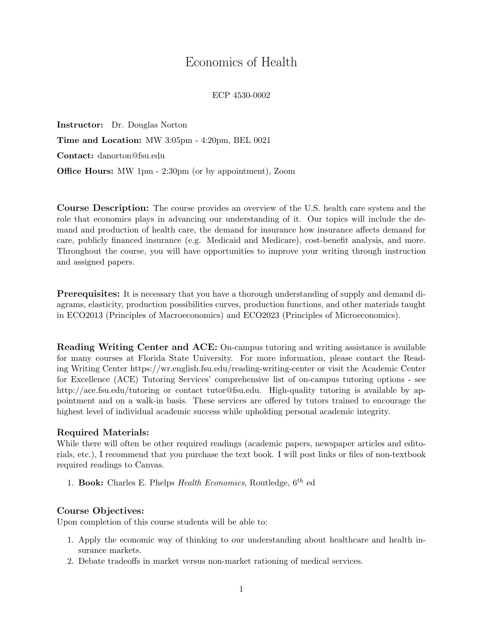# Economics of Health

ECP 4530-0002

Instructor: Dr. Douglas Norton Time and Location: MW 3:05pm - 4:20pm, BEL 0021 Contact: danorton@fsu.edu Office Hours: MW 1pm - 2:30pm (or by appointment), Zoom

Course Description: The course provides an overview of the U.S. health care system and the role that economics plays in advancing our understanding of it. Our topics will include the demand and production of health care, the demand for insurance how insurance affects demand for care, publicly financed insurance (e.g. Medicaid and Medicare), cost-benefit analysis, and more. Throughout the course, you will have opportunities to improve your writing through instruction and assigned papers.

Prerequisites: It is necessary that you have a thorough understanding of supply and demand diagrams, elasticity, production possibilities curves, production functions, and other materials taught in ECO2013 (Principles of Macroeconomics) and ECO2023 (Principles of Microeconomics).

Reading Writing Center and ACE: On-campus tutoring and writing assistance is available for many courses at Florida State University. For more information, please contact the Reading Writing Center https://wr.english.fsu.edu/reading-writing-center or visit the Academic Center for Excellence (ACE) Tutoring Services' comprehensive list of on-campus tutoring options - see http://ace.fsu.edu/tutoring or contact tutor@fsu.edu. High-quality tutoring is available by appointment and on a walk-in basis. These services are offered by tutors trained to encourage the highest level of individual academic success while upholding personal academic integrity.

#### Required Materials:

While there will often be other required readings (academic papers, newspaper articles and editorials, etc.), I recommend that you purchase the text book. I will post links or files of non-textbook required readings to Canvas.

1. Book: Charles E. Phelps *Health Economics*, Routledge,  $6^{th}$  ed

### Course Objectives:

Upon completion of this course students will be able to:

- 1. Apply the economic way of thinking to our understanding about healthcare and health insurance markets.
- 2. Debate tradeoffs in market versus non-market rationing of medical services.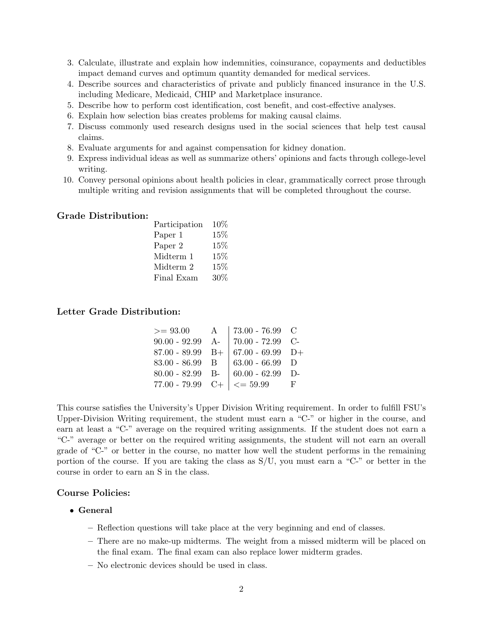- 3. Calculate, illustrate and explain how indemnities, coinsurance, copayments and deductibles impact demand curves and optimum quantity demanded for medical services.
- 4. Describe sources and characteristics of private and publicly financed insurance in the U.S. including Medicare, Medicaid, CHIP and Marketplace insurance.
- 5. Describe how to perform cost identification, cost benefit, and cost-effective analyses.
- 6. Explain how selection bias creates problems for making causal claims.
- 7. Discuss commonly used research designs used in the social sciences that help test causal claims.
- 8. Evaluate arguments for and against compensation for kidney donation.
- 9. Express individual ideas as well as summarize others' opinions and facts through college-level writing.
- 10. Convey personal opinions about health policies in clear, grammatically correct prose through multiple writing and revision assignments that will be completed throughout the course.

#### Grade Distribution:

| Participation      | 10%    |
|--------------------|--------|
| Paper 1            | 15%    |
| Paper <sub>2</sub> | 15%    |
| Midterm 1          | $15\%$ |
| Midterm 2          | $15\%$ |
| Final Exam         | 30%    |
|                    |        |

#### Letter Grade Distribution:

| $>= 93.00$        | $\mathbf{A}$ | 73.00 - 76.99 $\,$ C                          |     |
|-------------------|--------------|-----------------------------------------------|-----|
|                   |              | $90.00 - 92.99$ A- 70.00 - 72.99 C-           |     |
|                   |              | 87.00 - 89.99 B+ $\vert$ 67.00 - 69.99 D+     |     |
| $83.00 - 86.99$ B |              | $  63.00 - 66.99   D$                         |     |
|                   |              | 80.00 - 82.99 B- $\vert$ 60.00 - 62.99 D-     |     |
|                   |              | $77.00 - 79.99 \quad C+ \mid \; \; < = 59.99$ | - F |

This course satisfies the University's Upper Division Writing requirement. In order to fulfill FSU's Upper-Division Writing requirement, the student must earn a "C-" or higher in the course, and earn at least a "C-" average on the required writing assignments. If the student does not earn a "C-" average or better on the required writing assignments, the student will not earn an overall grade of "C-" or better in the course, no matter how well the student performs in the remaining portion of the course. If you are taking the class as S/U, you must earn a "C-" or better in the course in order to earn an S in the class.

#### Course Policies:

- General
	- Reflection questions will take place at the very beginning and end of classes.
	- There are no make-up midterms. The weight from a missed midterm will be placed on the final exam. The final exam can also replace lower midterm grades.
	- No electronic devices should be used in class.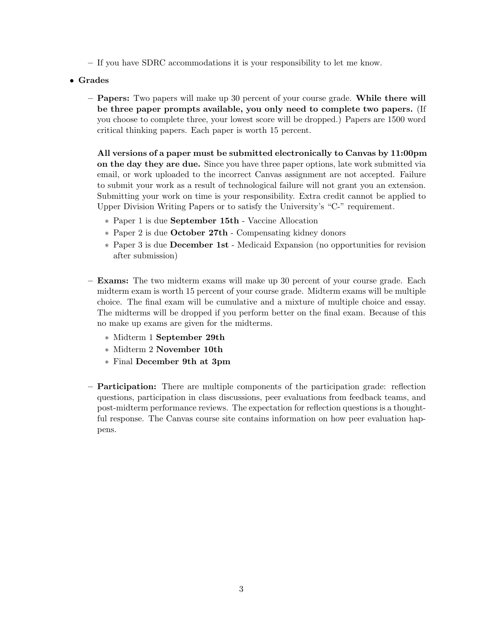- If you have SDRC accommodations it is your responsibility to let me know.
- Grades
	- Papers: Two papers will make up 30 percent of your course grade. While there will be three paper prompts available, you only need to complete two papers. (If you choose to complete three, your lowest score will be dropped.) Papers are 1500 word critical thinking papers. Each paper is worth 15 percent.

All versions of a paper must be submitted electronically to Canvas by 11:00pm on the day they are due. Since you have three paper options, late work submitted via email, or work uploaded to the incorrect Canvas assignment are not accepted. Failure to submit your work as a result of technological failure will not grant you an extension. Submitting your work on time is your responsibility. Extra credit cannot be applied to Upper Division Writing Papers or to satisfy the University's "C-" requirement.

- ∗ Paper 1 is due September 15th Vaccine Allocation
- ∗ Paper 2 is due October 27th Compensating kidney donors
- ∗ Paper 3 is due December 1st Medicaid Expansion (no opportunities for revision after submission)
- Exams: The two midterm exams will make up 30 percent of your course grade. Each midterm exam is worth 15 percent of your course grade. Midterm exams will be multiple choice. The final exam will be cumulative and a mixture of multiple choice and essay. The midterms will be dropped if you perform better on the final exam. Because of this no make up exams are given for the midterms.
	- ∗ Midterm 1 September 29th
	- ∗ Midterm 2 November 10th
	- ∗ Final December 9th at 3pm
- Participation: There are multiple components of the participation grade: reflection questions, participation in class discussions, peer evaluations from feedback teams, and post-midterm performance reviews. The expectation for reflection questions is a thoughtful response. The Canvas course site contains information on how peer evaluation happens.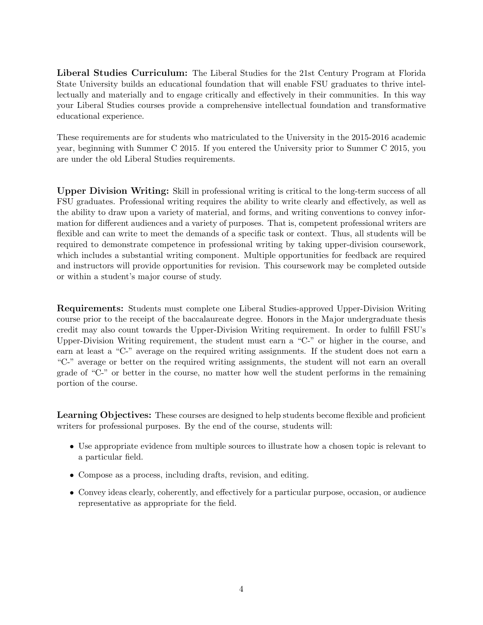Liberal Studies Curriculum: The Liberal Studies for the 21st Century Program at Florida State University builds an educational foundation that will enable FSU graduates to thrive intellectually and materially and to engage critically and effectively in their communities. In this way your Liberal Studies courses provide a comprehensive intellectual foundation and transformative educational experience.

These requirements are for students who matriculated to the University in the 2015-2016 academic year, beginning with Summer C 2015. If you entered the University prior to Summer C 2015, you are under the old Liberal Studies requirements.

Upper Division Writing: Skill in professional writing is critical to the long-term success of all FSU graduates. Professional writing requires the ability to write clearly and effectively, as well as the ability to draw upon a variety of material, and forms, and writing conventions to convey information for different audiences and a variety of purposes. That is, competent professional writers are flexible and can write to meet the demands of a specific task or context. Thus, all students will be required to demonstrate competence in professional writing by taking upper-division coursework, which includes a substantial writing component. Multiple opportunities for feedback are required and instructors will provide opportunities for revision. This coursework may be completed outside or within a student's major course of study.

Requirements: Students must complete one Liberal Studies-approved Upper-Division Writing course prior to the receipt of the baccalaureate degree. Honors in the Major undergraduate thesis credit may also count towards the Upper-Division Writing requirement. In order to fulfill FSU's Upper-Division Writing requirement, the student must earn a "C-" or higher in the course, and earn at least a "C-" average on the required writing assignments. If the student does not earn a "C-" average or better on the required writing assignments, the student will not earn an overall grade of "C-" or better in the course, no matter how well the student performs in the remaining portion of the course.

Learning Objectives: These courses are designed to help students become flexible and proficient writers for professional purposes. By the end of the course, students will:

- Use appropriate evidence from multiple sources to illustrate how a chosen topic is relevant to a particular field.
- Compose as a process, including drafts, revision, and editing.
- Convey ideas clearly, coherently, and effectively for a particular purpose, occasion, or audience representative as appropriate for the field.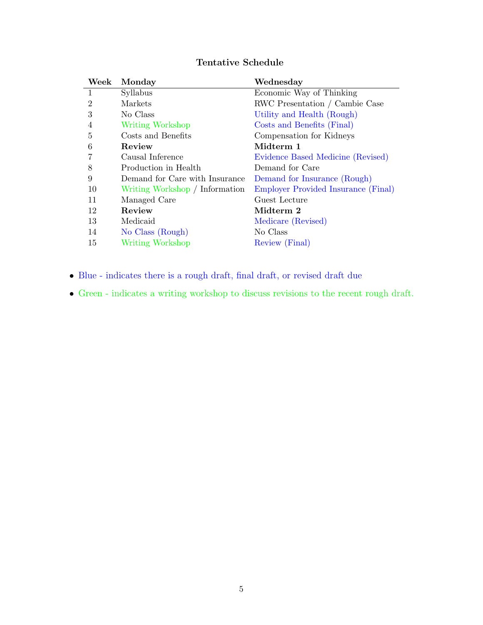| Week           | Monday                         | Wednesday                           |
|----------------|--------------------------------|-------------------------------------|
| $\mathbf{1}$   | Syllabus                       | Economic Way of Thinking            |
| $\overline{2}$ | Markets                        | RWC Presentation / Cambie Case      |
| 3              | No Class                       | Utility and Health (Rough)          |
| $\overline{4}$ | Writing Workshop               | Costs and Benefits (Final)          |
| 5              | Costs and Benefits             | Compensation for Kidneys            |
| 6              | Review                         | Midterm 1                           |
| 7              | Causal Inference               | Evidence Based Medicine (Revised)   |
| 8              | Production in Health           | Demand for Care                     |
| 9              | Demand for Care with Insurance | Demand for Insurance (Rough)        |
| 10             | Writing Workshop / Information | Employer Provided Insurance (Final) |

## Tentative Schedule

• Blue - indicates there is a rough draft, final draft, or revised draft due

11 Managed Care Guest Lecture 12 Review Midterm 2

15 Writing Workshop Review (Final)

14 No Class (Rough) No Class

13 Medicaid Medicare (Revised)

• Green - indicates a writing workshop to discuss revisions to the recent rough draft.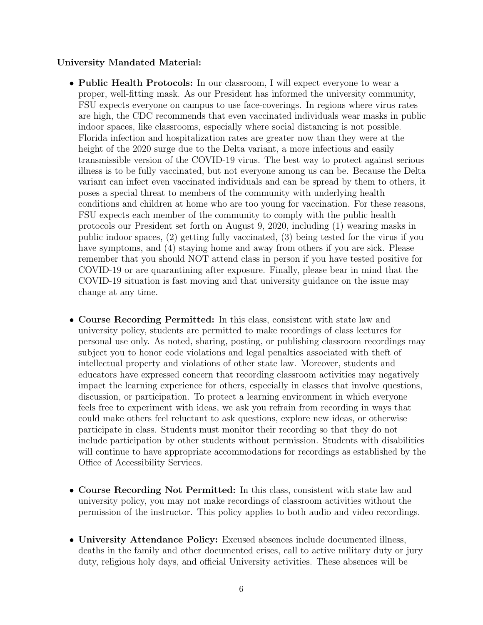## University Mandated Material:

- Public Health Protocols: In our classroom, I will expect everyone to wear a proper, well-fitting mask. As our President has informed the university community, FSU expects everyone on campus to use face-coverings. In regions where virus rates are high, the CDC recommends that even vaccinated individuals wear masks in public indoor spaces, like classrooms, especially where social distancing is not possible. Florida infection and hospitalization rates are greater now than they were at the height of the 2020 surge due to the Delta variant, a more infectious and easily transmissible version of the COVID-19 virus. The best way to protect against serious illness is to be fully vaccinated, but not everyone among us can be. Because the Delta variant can infect even vaccinated individuals and can be spread by them to others, it poses a special threat to members of the community with underlying health conditions and children at home who are too young for vaccination. For these reasons, FSU expects each member of the community to comply with the public health protocols our President set forth on August 9, 2020, including (1) wearing masks in public indoor spaces, (2) getting fully vaccinated, (3) being tested for the virus if you have symptoms, and (4) staying home and away from others if you are sick. Please remember that you should NOT attend class in person if you have tested positive for COVID-19 or are quarantining after exposure. Finally, please bear in mind that the COVID-19 situation is fast moving and that university guidance on the issue may change at any time.
- Course Recording Permitted: In this class, consistent with state law and university policy, students are permitted to make recordings of class lectures for personal use only. As noted, sharing, posting, or publishing classroom recordings may subject you to honor code violations and legal penalties associated with theft of intellectual property and violations of other state law. Moreover, students and educators have expressed concern that recording classroom activities may negatively impact the learning experience for others, especially in classes that involve questions, discussion, or participation. To protect a learning environment in which everyone feels free to experiment with ideas, we ask you refrain from recording in ways that could make others feel reluctant to ask questions, explore new ideas, or otherwise participate in class. Students must monitor their recording so that they do not include participation by other students without permission. Students with disabilities will continue to have appropriate accommodations for recordings as established by the Office of Accessibility Services.
- Course Recording Not Permitted: In this class, consistent with state law and university policy, you may not make recordings of classroom activities without the permission of the instructor. This policy applies to both audio and video recordings.
- University Attendance Policy: Excused absences include documented illness, deaths in the family and other documented crises, call to active military duty or jury duty, religious holy days, and official University activities. These absences will be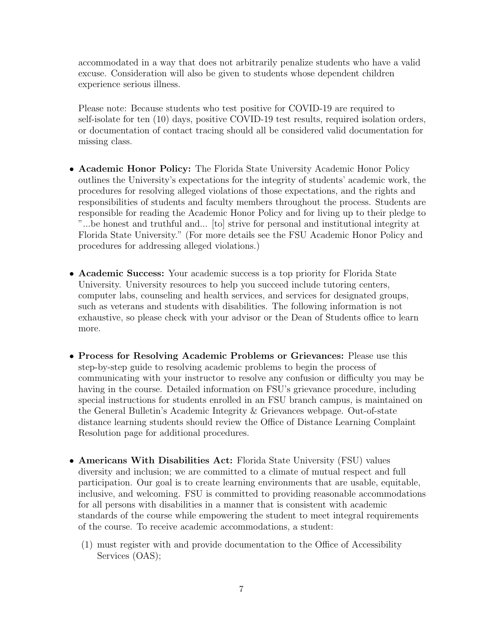accommodated in a way that does not arbitrarily penalize students who have a valid excuse. Consideration will also be given to students whose dependent children experience serious illness.

Please note: Because students who test positive for COVID-19 are required to self-isolate for ten (10) days, positive COVID-19 test results, required isolation orders, or documentation of contact tracing should all be considered valid documentation for missing class.

- Academic Honor Policy: The Florida State University Academic Honor Policy outlines the University's expectations for the integrity of students' academic work, the procedures for resolving alleged violations of those expectations, and the rights and responsibilities of students and faculty members throughout the process. Students are responsible for reading the Academic Honor Policy and for living up to their pledge to "...be honest and truthful and... [to] strive for personal and institutional integrity at Florida State University." (For more details see the FSU Academic Honor Policy and procedures for addressing alleged violations.)
- Academic Success: Your academic success is a top priority for Florida State University. University resources to help you succeed include tutoring centers, computer labs, counseling and health services, and services for designated groups, such as veterans and students with disabilities. The following information is not exhaustive, so please check with your advisor or the Dean of Students office to learn more.
- Process for Resolving Academic Problems or Grievances: Please use this step-by-step guide to resolving academic problems to begin the process of communicating with your instructor to resolve any confusion or difficulty you may be having in the course. Detailed information on FSU's grievance procedure, including special instructions for students enrolled in an FSU branch campus, is maintained on the General Bulletin's Academic Integrity & Grievances webpage. Out-of-state distance learning students should review the Office of Distance Learning Complaint Resolution page for additional procedures.
- Americans With Disabilities Act: Florida State University (FSU) values diversity and inclusion; we are committed to a climate of mutual respect and full participation. Our goal is to create learning environments that are usable, equitable, inclusive, and welcoming. FSU is committed to providing reasonable accommodations for all persons with disabilities in a manner that is consistent with academic standards of the course while empowering the student to meet integral requirements of the course. To receive academic accommodations, a student:
	- (1) must register with and provide documentation to the Office of Accessibility Services (OAS);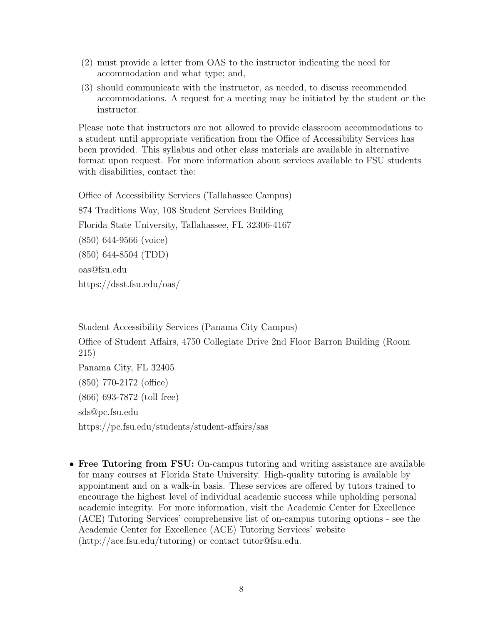- (2) must provide a letter from OAS to the instructor indicating the need for accommodation and what type; and,
- (3) should communicate with the instructor, as needed, to discuss recommended accommodations. A request for a meeting may be initiated by the student or the instructor.

Please note that instructors are not allowed to provide classroom accommodations to a student until appropriate verification from the Office of Accessibility Services has been provided. This syllabus and other class materials are available in alternative format upon request. For more information about services available to FSU students with disabilities, contact the:

Office of Accessibility Services (Tallahassee Campus) 874 Traditions Way, 108 Student Services Building Florida State University, Tallahassee, FL 32306-4167 (850) 644-9566 (voice) (850) 644-8504 (TDD) oas@fsu.edu https://dsst.fsu.edu/oas/

Student Accessibility Services (Panama City Campus) Office of Student Affairs, 4750 Collegiate Drive 2nd Floor Barron Building (Room 215) Panama City, FL 32405 (850) 770-2172 (office) (866) 693-7872 (toll free) sds@pc.fsu.edu https://pc.fsu.edu/students/student-affairs/sas

• Free Tutoring from FSU: On-campus tutoring and writing assistance are available for many courses at Florida State University. High-quality tutoring is available by appointment and on a walk-in basis. These services are offered by tutors trained to encourage the highest level of individual academic success while upholding personal academic integrity. For more information, visit the Academic Center for Excellence (ACE) Tutoring Services' comprehensive list of on-campus tutoring options - see the Academic Center for Excellence (ACE) Tutoring Services' website (http://ace.fsu.edu/tutoring) or contact tutor@fsu.edu.